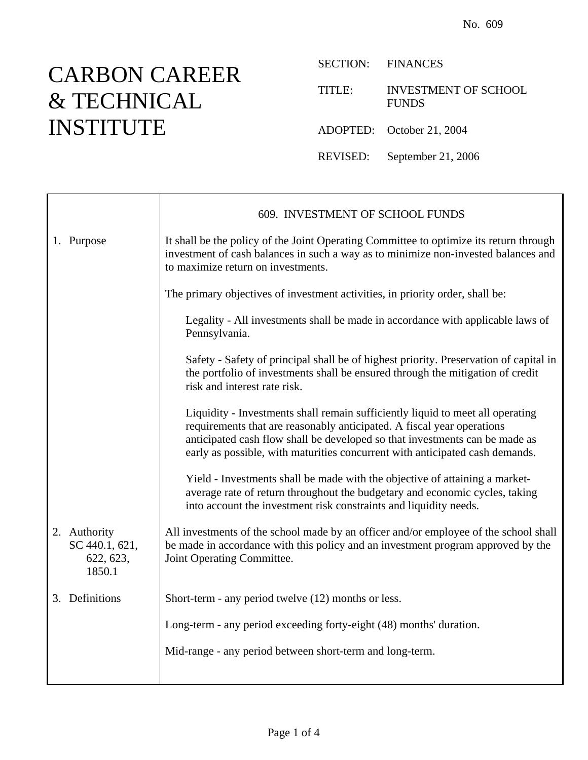## CARBON CAREER & TECHNICAL INSTITUTE

Ť

 $\mathsf{r}$ 

SECTION: FINANCES

TITLE: INVESTMENT OF SCHOOL FUNDS

ADOPTED: October 21, 2004

REVISED: September 21, 2006

|                                                       | 609. INVESTMENT OF SCHOOL FUNDS                                                                                                                                                                                                                                                                                         |
|-------------------------------------------------------|-------------------------------------------------------------------------------------------------------------------------------------------------------------------------------------------------------------------------------------------------------------------------------------------------------------------------|
| 1. Purpose                                            | It shall be the policy of the Joint Operating Committee to optimize its return through<br>investment of cash balances in such a way as to minimize non-invested balances and<br>to maximize return on investments.                                                                                                      |
|                                                       | The primary objectives of investment activities, in priority order, shall be:                                                                                                                                                                                                                                           |
|                                                       | Legality - All investments shall be made in accordance with applicable laws of<br>Pennsylvania.                                                                                                                                                                                                                         |
|                                                       | Safety - Safety of principal shall be of highest priority. Preservation of capital in<br>the portfolio of investments shall be ensured through the mitigation of credit<br>risk and interest rate risk.                                                                                                                 |
|                                                       | Liquidity - Investments shall remain sufficiently liquid to meet all operating<br>requirements that are reasonably anticipated. A fiscal year operations<br>anticipated cash flow shall be developed so that investments can be made as<br>early as possible, with maturities concurrent with anticipated cash demands. |
|                                                       | Yield - Investments shall be made with the objective of attaining a market-<br>average rate of return throughout the budgetary and economic cycles, taking<br>into account the investment risk constraints and liquidity needs.                                                                                         |
| 2. Authority<br>SC 440.1, 621,<br>622, 623,<br>1850.1 | All investments of the school made by an officer and/or employee of the school shall<br>be made in accordance with this policy and an investment program approved by the<br>Joint Operating Committee.                                                                                                                  |
| 3. Definitions                                        | Short-term - any period twelve (12) months or less.                                                                                                                                                                                                                                                                     |
|                                                       | Long-term - any period exceeding forty-eight (48) months' duration.                                                                                                                                                                                                                                                     |
|                                                       | Mid-range - any period between short-term and long-term.                                                                                                                                                                                                                                                                |
|                                                       |                                                                                                                                                                                                                                                                                                                         |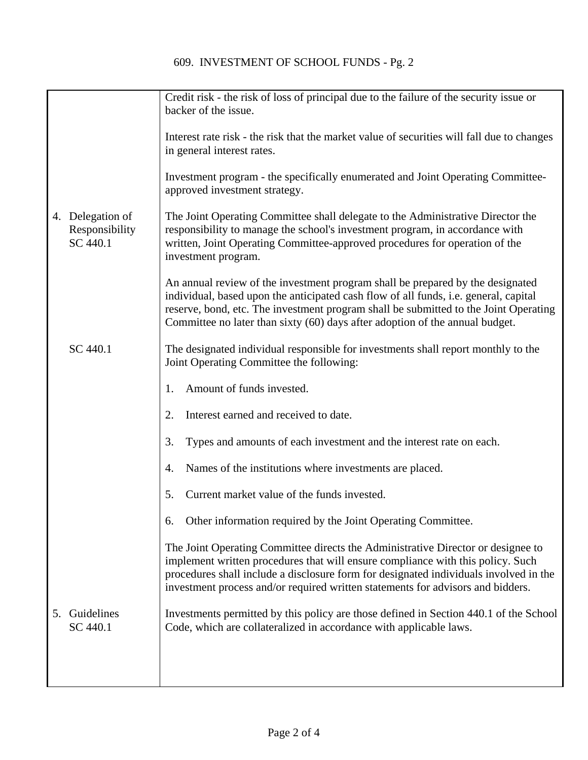|                                                | Credit risk - the risk of loss of principal due to the failure of the security issue or<br>backer of the issue.                                                                                                                                                                                                                                 |
|------------------------------------------------|-------------------------------------------------------------------------------------------------------------------------------------------------------------------------------------------------------------------------------------------------------------------------------------------------------------------------------------------------|
|                                                | Interest rate risk - the risk that the market value of securities will fall due to changes<br>in general interest rates.                                                                                                                                                                                                                        |
|                                                | Investment program - the specifically enumerated and Joint Operating Committee-<br>approved investment strategy.                                                                                                                                                                                                                                |
| 4. Delegation of<br>Responsibility<br>SC 440.1 | The Joint Operating Committee shall delegate to the Administrative Director the<br>responsibility to manage the school's investment program, in accordance with<br>written, Joint Operating Committee-approved procedures for operation of the<br>investment program.                                                                           |
|                                                | An annual review of the investment program shall be prepared by the designated<br>individual, based upon the anticipated cash flow of all funds, i.e. general, capital<br>reserve, bond, etc. The investment program shall be submitted to the Joint Operating<br>Committee no later than sixty (60) days after adoption of the annual budget.  |
| SC 440.1                                       | The designated individual responsible for investments shall report monthly to the<br>Joint Operating Committee the following:                                                                                                                                                                                                                   |
|                                                | Amount of funds invested.<br>1.                                                                                                                                                                                                                                                                                                                 |
|                                                | Interest earned and received to date.<br>2.                                                                                                                                                                                                                                                                                                     |
|                                                | 3.<br>Types and amounts of each investment and the interest rate on each.                                                                                                                                                                                                                                                                       |
|                                                | Names of the institutions where investments are placed.<br>4.                                                                                                                                                                                                                                                                                   |
|                                                | Current market value of the funds invested.<br>5.                                                                                                                                                                                                                                                                                               |
|                                                | Other information required by the Joint Operating Committee.<br>6.                                                                                                                                                                                                                                                                              |
|                                                | The Joint Operating Committee directs the Administrative Director or designee to<br>implement written procedures that will ensure compliance with this policy. Such<br>procedures shall include a disclosure form for designated individuals involved in the<br>investment process and/or required written statements for advisors and bidders. |
| Guidelines<br>5.<br>SC 440.1                   | Investments permitted by this policy are those defined in Section 440.1 of the School<br>Code, which are collateralized in accordance with applicable laws.                                                                                                                                                                                     |
|                                                |                                                                                                                                                                                                                                                                                                                                                 |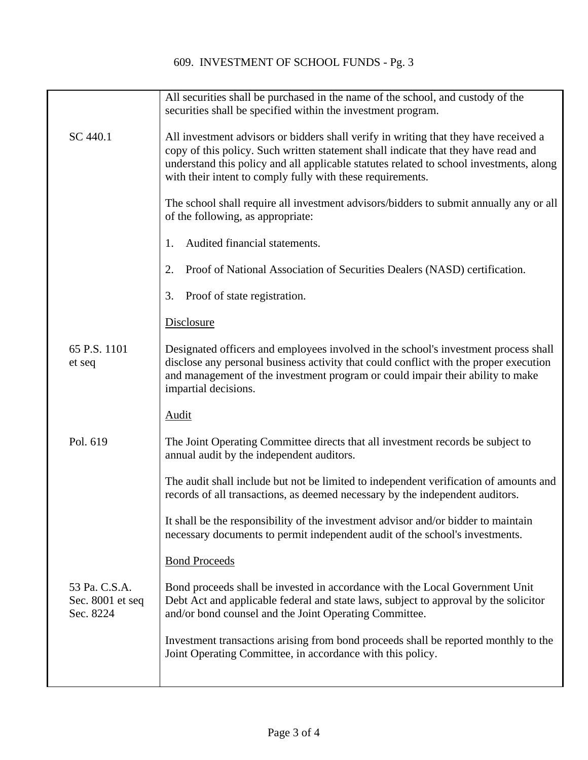|                                                | All securities shall be purchased in the name of the school, and custody of the<br>securities shall be specified within the investment program.                                                                                                                                                                                     |
|------------------------------------------------|-------------------------------------------------------------------------------------------------------------------------------------------------------------------------------------------------------------------------------------------------------------------------------------------------------------------------------------|
| SC 440.1                                       | All investment advisors or bidders shall verify in writing that they have received a<br>copy of this policy. Such written statement shall indicate that they have read and<br>understand this policy and all applicable statutes related to school investments, along<br>with their intent to comply fully with these requirements. |
|                                                | The school shall require all investment advisors/bidders to submit annually any or all<br>of the following, as appropriate:                                                                                                                                                                                                         |
|                                                | Audited financial statements.<br>1.                                                                                                                                                                                                                                                                                                 |
|                                                | Proof of National Association of Securities Dealers (NASD) certification.<br>2.                                                                                                                                                                                                                                                     |
|                                                | Proof of state registration.<br>3.                                                                                                                                                                                                                                                                                                  |
|                                                | <b>Disclosure</b>                                                                                                                                                                                                                                                                                                                   |
| 65 P.S. 1101<br>et seq                         | Designated officers and employees involved in the school's investment process shall<br>disclose any personal business activity that could conflict with the proper execution<br>and management of the investment program or could impair their ability to make<br>impartial decisions.                                              |
|                                                | <b>Audit</b>                                                                                                                                                                                                                                                                                                                        |
| Pol. 619                                       | The Joint Operating Committee directs that all investment records be subject to<br>annual audit by the independent auditors.                                                                                                                                                                                                        |
|                                                | The audit shall include but not be limited to independent verification of amounts and<br>records of all transactions, as deemed necessary by the independent auditors.                                                                                                                                                              |
|                                                | It shall be the responsibility of the investment advisor and/or bidder to maintain<br>necessary documents to permit independent audit of the school's investments.                                                                                                                                                                  |
|                                                | <b>Bond Proceeds</b>                                                                                                                                                                                                                                                                                                                |
| 53 Pa. C.S.A.<br>Sec. 8001 et seq<br>Sec. 8224 | Bond proceeds shall be invested in accordance with the Local Government Unit<br>Debt Act and applicable federal and state laws, subject to approval by the solicitor<br>and/or bond counsel and the Joint Operating Committee.                                                                                                      |
|                                                | Investment transactions arising from bond proceeds shall be reported monthly to the<br>Joint Operating Committee, in accordance with this policy.                                                                                                                                                                                   |